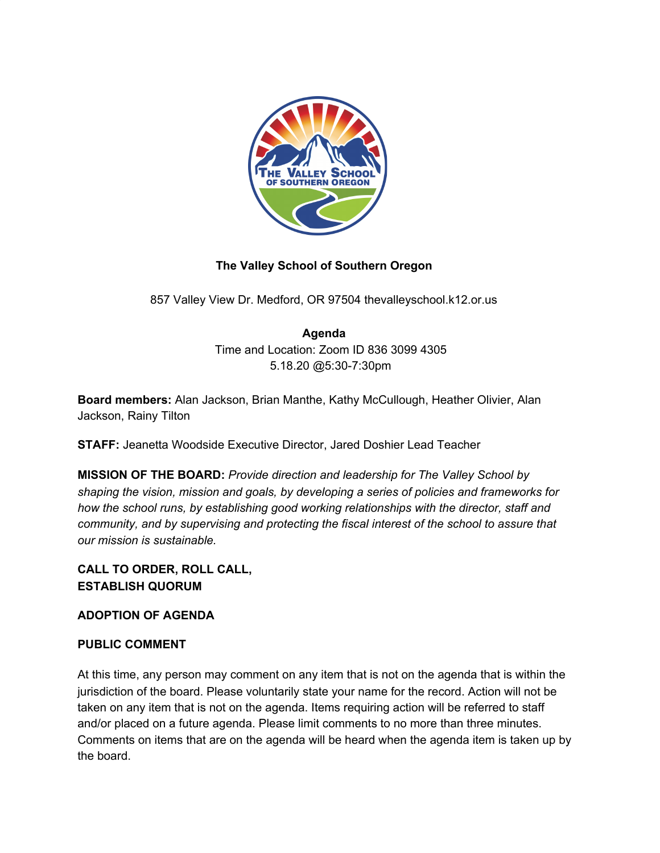

## **The Valley School of Southern Oregon**

857 Valley View Dr. Medford, OR 97504 thevalleyschool.k12.or.us

# **Agenda**

Time and Location: Zoom ID 836 3099 4305 5.18.20 @5:30-7:30pm

**Board members:** Alan Jackson, Brian Manthe, Kathy McCullough, Heather Olivier, Alan Jackson, Rainy Tilton

**STAFF:** Jeanetta Woodside Executive Director, Jared Doshier Lead Teacher

**MISSION OF THE BOARD:** *Provide direction and leadership for The Valley School by shaping the vision, mission and goals, by developing a series of policies and frameworks for how the school runs, by establishing good working relationships with the director, staff and community, and by supervising and protecting the fiscal interest of the school to assure that our mission is sustainable.*

## **CALL TO ORDER, ROLL CALL, ESTABLISH QUORUM**

### **ADOPTION OF AGENDA**

### **PUBLIC COMMENT**

At this time, any person may comment on any item that is not on the agenda that is within the jurisdiction of the board. Please voluntarily state your name for the record. Action will not be taken on any item that is not on the agenda. Items requiring action will be referred to staff and/or placed on a future agenda. Please limit comments to no more than three minutes. Comments on items that are on the agenda will be heard when the agenda item is taken up by the board.